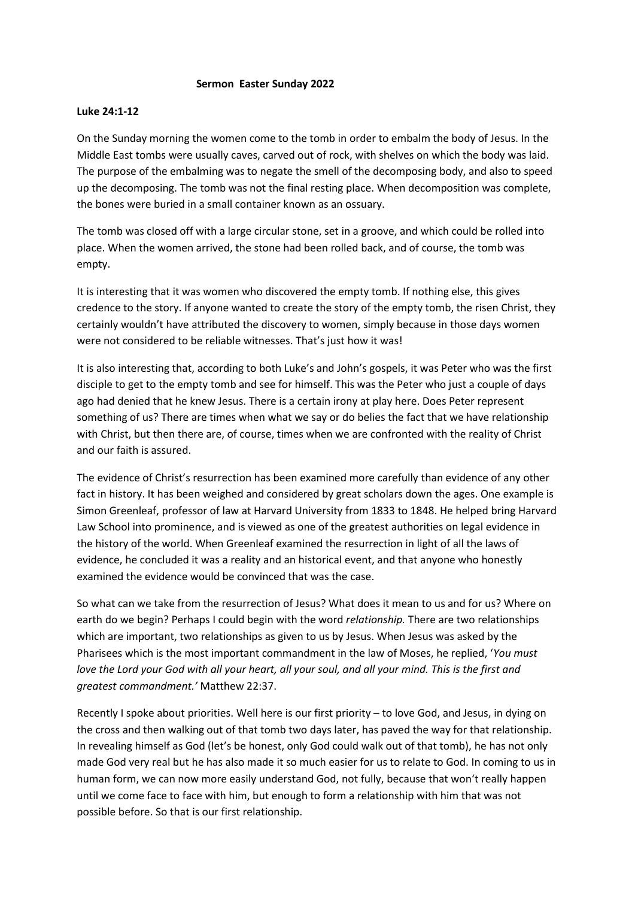## **Sermon Easter Sunday 2022**

## **Luke 24:1-12**

On the Sunday morning the women come to the tomb in order to embalm the body of Jesus. In the Middle East tombs were usually caves, carved out of rock, with shelves on which the body was laid. The purpose of the embalming was to negate the smell of the decomposing body, and also to speed up the decomposing. The tomb was not the final resting place. When decomposition was complete, the bones were buried in a small container known as an ossuary.

The tomb was closed off with a large circular stone, set in a groove, and which could be rolled into place. When the women arrived, the stone had been rolled back, and of course, the tomb was empty.

It is interesting that it was women who discovered the empty tomb. If nothing else, this gives credence to the story. If anyone wanted to create the story of the empty tomb, the risen Christ, they certainly wouldn't have attributed the discovery to women, simply because in those days women were not considered to be reliable witnesses. That's just how it was!

It is also interesting that, according to both Luke's and John's gospels, it was Peter who was the first disciple to get to the empty tomb and see for himself. This was the Peter who just a couple of days ago had denied that he knew Jesus. There is a certain irony at play here. Does Peter represent something of us? There are times when what we say or do belies the fact that we have relationship with Christ, but then there are, of course, times when we are confronted with the reality of Christ and our faith is assured.

The evidence of Christ's resurrection has been examined more carefully than evidence of any other fact in history. It has been weighed and considered by great scholars down the ages. One example is Simon Greenleaf, professor of law at Harvard University from 1833 to 1848. He helped bring Harvard Law School into prominence, and is viewed as one of the greatest authorities on legal evidence in the history of the world. When Greenleaf examined the resurrection in light of all the laws of evidence, he concluded it was a reality and an historical event, and that anyone who honestly examined the evidence would be convinced that was the case.

So what can we take from the resurrection of Jesus? What does it mean to us and for us? Where on earth do we begin? Perhaps I could begin with the word *relationship.* There are two relationships which are important, two relationships as given to us by Jesus. When Jesus was asked by the Pharisees which is the most important commandment in the law of Moses, he replied, '*You must love the Lord your God with all your heart, all your soul, and all your mind. This is the first and greatest commandment.'* Matthew 22:37.

Recently I spoke about priorities. Well here is our first priority – to love God, and Jesus, in dying on the cross and then walking out of that tomb two days later, has paved the way for that relationship. In revealing himself as God (let's be honest, only God could walk out of that tomb), he has not only made God very real but he has also made it so much easier for us to relate to God. In coming to us in human form, we can now more easily understand God, not fully, because that won't really happen until we come face to face with him, but enough to form a relationship with him that was not possible before. So that is our first relationship.